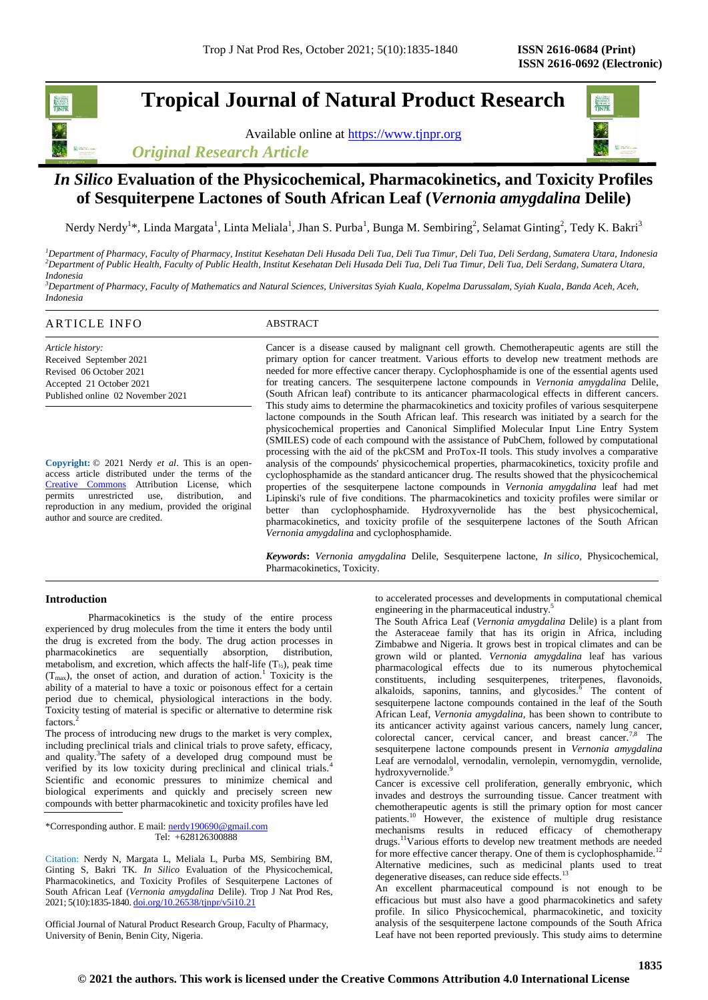# **Tropical Journal of Natural Product Research**

Available online at [https://www.tjnpr.org](https://www.tjnpr.org/)





# *In Silico* **Evaluation of the Physicochemical, Pharmacokinetics, and Toxicity Profiles of Sesquiterpene Lactones of South African Leaf (***Vernonia amygdalina* **Delile)**

Nerdy Nerdy<sup>1\*</sup>, Linda Margata<sup>1</sup>, Linta Meliala<sup>1</sup>, Jhan S. Purba<sup>1</sup>, Bunga M. Sembiring<sup>2</sup>, Selamat Ginting<sup>2</sup>, Tedy K. Bakri<sup>3</sup>

*<sup>1</sup>Department of Pharmacy, Faculty of Pharmacy, Institut Kesehatan Deli Husada Deli Tua, Deli Tua Timur, Deli Tua, Deli Serdang, Sumatera Utara, Indonesia <sup>2</sup>Department of Public Health, Faculty of Public Health, Institut Kesehatan Deli Husada Deli Tua, Deli Tua Timur, Deli Tua, Deli Serdang, Sumatera Utara, Indonesia*

*<sup>3</sup>Department of Pharmacy, Faculty of Mathematics and Natural Sciences, Universitas Syiah Kuala, Kopelma Darussalam, Syiah Kuala, Banda Aceh, Aceh, Indonesia*

# ARTICLE INFO ABSTRACT

*Article history:* Received September 2021 Revised 06 October 2021 Accepted 21 October 2021 Published online 02 November 2021

**Copyright:** © 2021 Nerdy *et al*. This is an openaccess article distributed under the terms of the [Creative Commons](https://creativecommons.org/licenses/by/4.0/) Attribution License, which permits unrestricted use, distribution, and reproduction in any medium, provided the original author and source are credited.

Cancer is a disease caused by malignant cell growth. Chemotherapeutic agents are still the primary option for cancer treatment. Various efforts to develop new treatment methods are needed for more effective cancer therapy. Cyclophosphamide is one of the essential agents used for treating cancers. The sesquiterpene lactone compounds in *Vernonia amygdalina* Delile, (South African leaf) contribute to its anticancer pharmacological effects in different cancers. This study aims to determine the pharmacokinetics and toxicity profiles of various sesquiterpene lactone compounds in the South African leaf. This research was initiated by a search for the physicochemical properties and Canonical Simplified Molecular Input Line Entry System (SMILES) code of each compound with the assistance of PubChem, followed by computational processing with the aid of the pkCSM and ProTox-II tools. This study involves a comparative analysis of the compounds' physicochemical properties, pharmacokinetics, toxicity profile and cyclophosphamide as the standard anticancer drug. The results showed that the physicochemical properties of the sesquiterpene lactone compounds in *Vernonia amygdalina* leaf had met Lipinski's rule of five conditions. The pharmacokinetics and toxicity profiles were similar or better than cyclophosphamide. Hydroxyvernolide has the best physicochemical, pharmacokinetics, and toxicity profile of the sesquiterpene lactones of the South African *Vernonia amygdalina* and cyclophosphamide.

*Keywords***:** *Vernonia amygdalina* Delile, Sesquiterpene lactone, *In silico*, Physicochemical, Pharmacokinetics, Toxicity.

# **Introduction**

Pharmacokinetics is the study of the entire process experienced by drug molecules from the time it enters the body until the drug is excreted from the body. The drug action processes in pharmacokinetics are sequentially absorption, distribution, metabolism, and excretion, which affects the half-life  $(T_{1/2})$ , peak time  $(T<sub>max</sub>)$ , the onset of action, and duration of action.<sup>1</sup> Toxicity is the ability of a material to have a toxic or poisonous effect for a certain period due to chemical, physiological interactions in the body. Toxicity testing of material is specific or alternative to determine risk factors.

The process of introducing new drugs to the market is very complex, including preclinical trials and clinical trials to prove safety, efficacy, and quality.<sup>3</sup>The safety of a developed drug compound must be verified by its low toxicity during preclinical and clinical trials.<sup>4</sup> Scientific and economic pressures to minimize chemical and biological experiments and quickly and precisely screen new compounds with better pharmacokinetic and toxicity profiles have led

\*Corresponding author. E mail[: nerdy190690@gmail.com](mailto:nerdy190690@gmail.com) Tel: +628126300888

Citation: Nerdy N, Margata L, Meliala L, Purba MS, Sembiring BM, Ginting S, Bakri TK. *In Silico* Evaluation of the Physicochemical, Pharmacokinetics, and Toxicity Profiles of Sesquiterpene Lactones of South African Leaf (*Vernonia amygdalina* Delile). Trop J Nat Prod Res, 2021; 5(10):1835-1840. [doi.org/10.26538/tjnpr/v5i10.2](http://www.doi.org/10.26538/tjnpr/v1i4.5)1

Official Journal of Natural Product Research Group, Faculty of Pharmacy, University of Benin, Benin City, Nigeria.

to accelerated processes and developments in computational chemical engineering in the pharmaceutical industry.<sup>5</sup>

The South Africa Leaf (*Vernonia amygdalina* Delile) is a plant from the Asteraceae family that has its origin in Africa, including Zimbabwe and Nigeria. It grows best in tropical climates and can be grown wild or planted. *Vernonia amygdalina* leaf has various pharmacological effects due to its numerous phytochemical constituents, including sesquiterpenes, triterpenes, flavonoids, alkaloids, saponins, tannins, and glycosides. $\delta$  The content of sesquiterpene lactone compounds contained in the leaf of the South African Leaf, *Vernonia amygdalina,* has been shown to contribute to its anticancer activity against various cancers, namely lung cancer, colorectal cancer, cervical cancer, and breast cancer.<sup>7,8</sup> The sesquiterpene lactone compounds present in *Vernonia amygdalina*  Leaf are vernodalol, vernodalin, vernolepin, vernomygdin, vernolide, hydroxyvernolide.9

Cancer is excessive cell proliferation, generally embryonic, which invades and destroys the surrounding tissue. Cancer treatment with chemotherapeutic agents is still the primary option for most cancer patients.<sup>10</sup> However, the existence of multiple drug resistance mechanisms results in reduced efficacy of chemotherapy drugs.<sup>11</sup>Various efforts to develop new treatment methods are needed for more effective cancer therapy. One of them is cyclophosphamide.<sup>12</sup> Alternative medicines, such as medicinal plants used to treat degenerative diseases, can reduce side effects.<sup>13</sup>

An excellent pharmaceutical compound is not enough to be efficacious but must also have a good pharmacokinetics and safety profile. In silico Physicochemical, pharmacokinetic, and toxicity analysis of the sesquiterpene lactone compounds of the South Africa Leaf have not been reported previously. This study aims to determine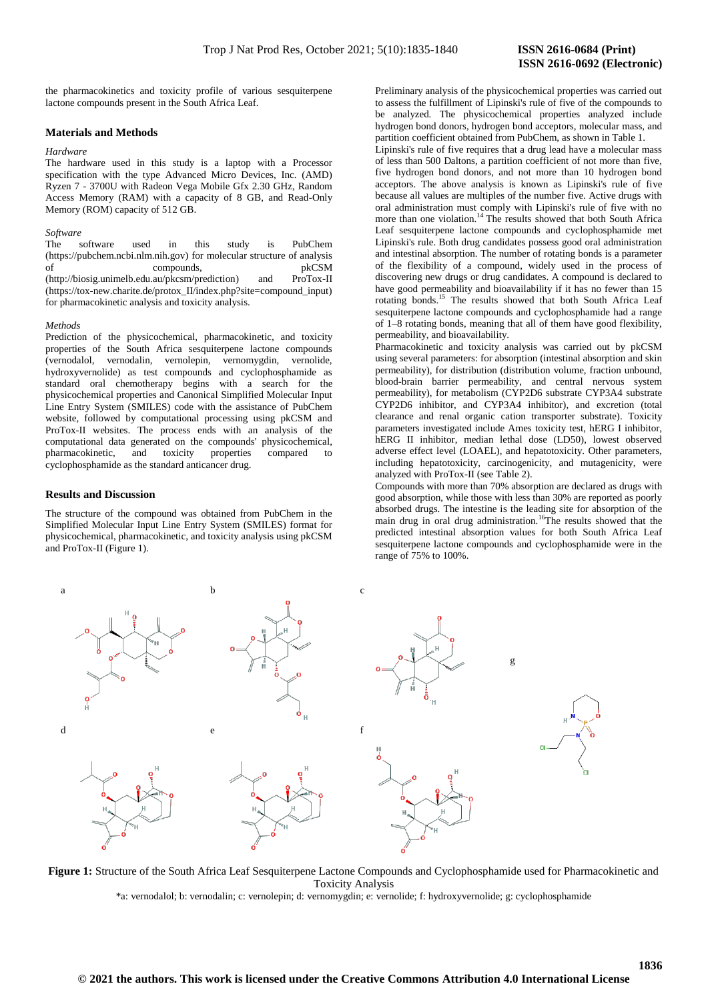the pharmacokinetics and toxicity profile of various sesquiterpene lactone compounds present in the South Africa Leaf.

## **Materials and Methods**

### *Hardware*

The hardware used in this study is a laptop with a Processor specification with the type Advanced Micro Devices, Inc. (AMD) Ryzen 7 - 3700U with Radeon Vega Mobile Gfx 2.30 GHz, Random Access Memory (RAM) with a capacity of 8 GB, and Read-Only Memory (ROM) capacity of 512 GB.

### *Software*

The software used in this study is PubChem [\(https://pubchem.ncbi.nlm.nih.gov\)](https://pubchem.ncbi.nlm.nih.gov/) for molecular structure of analysis of compounds, of compounds, [\(http://biosig.unimelb.edu.au/pkcsm/prediction\)](http://biosig.unimelb.edu.au/pkcsm/prediction) and ProTox-II [\(https://tox-new.charite.de/protox\\_II/index.php?site=compound\\_input\)](https://tox-new.charite.de/protox_II/index.php?site=compound_input) for pharmacokinetic analysis and toxicity analysis.

#### *Methods*

Prediction of the physicochemical, pharmacokinetic, and toxicity properties of the South Africa sesquiterpene lactone compounds (vernodalol, vernodalin, vernolepin, vernomygdin, vernolide, hydroxyvernolide) as test compounds and cyclophosphamide as standard oral chemotherapy begins with a search for the physicochemical properties and Canonical Simplified Molecular Input Line Entry System (SMILES) code with the assistance of PubChem website, followed by computational processing using pkCSM and ProTox-II websites. The process ends with an analysis of the computational data generated on the compounds' physicochemical, pharmacokinetic, and toxicity properties compared to cyclophosphamide as the standard anticancer drug.

#### **Results and Discussion**

The structure of the compound was obtained from PubChem in the Simplified Molecular Input Line Entry System (SMILES) format for physicochemical, pharmacokinetic, and toxicity analysis using pkCSM and ProTox-II (Figure 1).

Preliminary analysis of the physicochemical properties was carried out to assess the fulfillment of Lipinski's rule of five of the compounds to be analyzed. The physicochemical properties analyzed include hydrogen bond donors, hydrogen bond acceptors, molecular mass, and partition coefficient obtained from PubChem, as shown in Table 1.

Lipinski's rule of five requires that a drug lead have a molecular mass of less than 500 Daltons, a partition coefficient of not more than five, five hydrogen bond donors, and not more than 10 hydrogen bond acceptors. The above analysis is known as Lipinski's rule of five because all values are multiples of the number five. Active drugs with oral administration must comply with Lipinski's rule of five with no more than one violation.<sup>14</sup> The results showed that both South Africa Leaf sesquiterpene lactone compounds and cyclophosphamide met Lipinski's rule. Both drug candidates possess good oral administration and intestinal absorption. The number of rotating bonds is a parameter of the flexibility of a compound, widely used in the process of discovering new drugs or drug candidates. A compound is declared to have good permeability and bioavailability if it has no fewer than 15 rotating bonds.<sup>15</sup> The results showed that both South Africa Leaf sesquiterpene lactone compounds and cyclophosphamide had a range of 1–8 rotating bonds, meaning that all of them have good flexibility, permeability, and bioavailability.

Pharmacokinetic and toxicity analysis was carried out by pkCSM using several parameters: for absorption (intestinal absorption and skin permeability), for distribution (distribution volume, fraction unbound, blood-brain barrier permeability, and central nervous system permeability), for metabolism (CYP2D6 substrate CYP3A4 substrate CYP2D6 inhibitor, and CYP3A4 inhibitor), and excretion (total clearance and renal organic cation transporter substrate). Toxicity parameters investigated include Ames toxicity test, hERG I inhibitor, hERG II inhibitor, median lethal dose (LD50), lowest observed adverse effect level (LOAEL), and hepatotoxicity. Other parameters, including hepatotoxicity, carcinogenicity, and mutagenicity, were analyzed with ProTox-II (see Table 2).

Compounds with more than 70% absorption are declared as drugs with good absorption, while those with less than 30% are reported as poorly absorbed drugs. The intestine is the leading site for absorption of the main drug in oral drug administration.<sup>16</sup>The results showed that the predicted intestinal absorption values for both South Africa Leaf sesquiterpene lactone compounds and cyclophosphamide were in the range of 75% to 100%.



**Figure 1:** Structure of the South Africa Leaf Sesquiterpene Lactone Compounds and Cyclophosphamide used for Pharmacokinetic and Toxicity Analysis

\*a: vernodalol; b: vernodalin; c: vernolepin; d: vernomygdin; e: vernolide; f: hydroxyvernolide; g: cyclophosphamide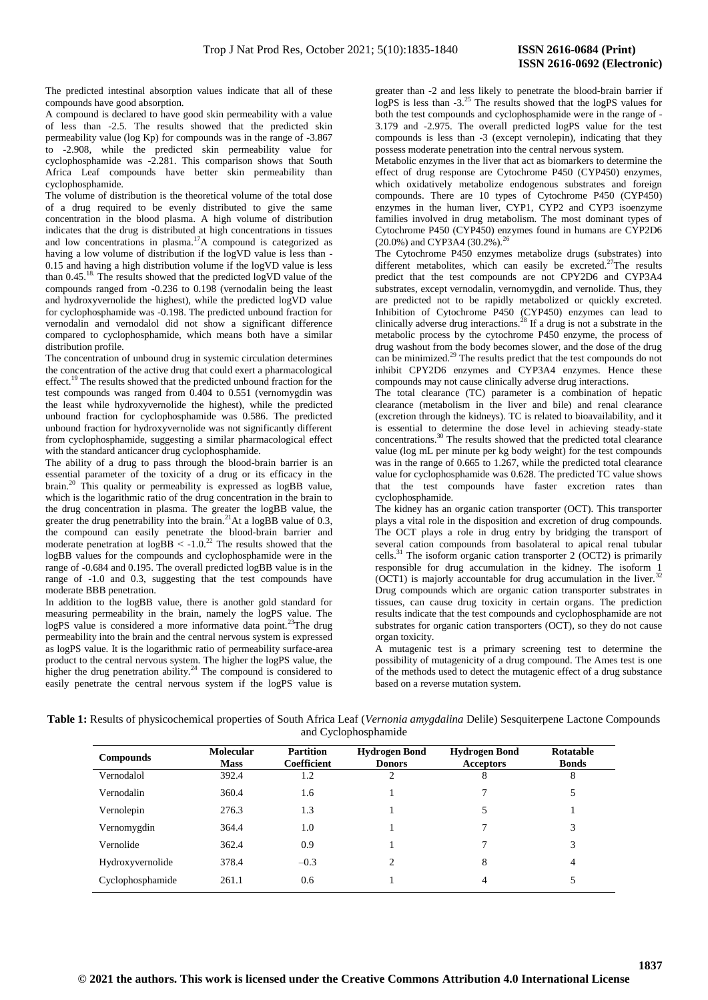The predicted intestinal absorption values indicate that all of these compounds have good absorption.

A compound is declared to have good skin permeability with a value of less than -2.5. The results showed that the predicted skin permeability value (log Kp) for compounds was in the range of -3.867 to -2.908, while the predicted skin permeability value for cyclophosphamide was -2.281. This comparison shows that South Africa Leaf compounds have better skin permeability than cyclophosphamide.

The volume of distribution is the theoretical volume of the total dose of a drug required to be evenly distributed to give the same concentration in the blood plasma. A high volume of distribution indicates that the drug is distributed at high concentrations in tissues and low concentrations in plasma.<sup>17</sup>A compound is categorized as having a low volume of distribution if the logVD value is less than - 0.15 and having a high distribution volume if the logVD value is less than 0.45.18. The results showed that the predicted logVD value of the compounds ranged from -0.236 to 0.198 (vernodalin being the least and hydroxyvernolide the highest), while the predicted logVD value for cyclophosphamide was -0.198. The predicted unbound fraction for vernodalin and vernodalol did not show a significant difference compared to cyclophosphamide, which means both have a similar distribution profile.

The concentration of unbound drug in systemic circulation determines the concentration of the active drug that could exert a pharmacological effect.<sup>19</sup> The results showed that the predicted unbound fraction for the test compounds was ranged from 0.404 to 0.551 (vernomygdin was the least while hydroxyvernolide the highest), while the predicted unbound fraction for cyclophosphamide was 0.586. The predicted unbound fraction for hydroxyvernolide was not significantly different from cyclophosphamide, suggesting a similar pharmacological effect with the standard anticancer drug cyclophosphamide.

The ability of a drug to pass through the blood-brain barrier is an essential parameter of the toxicity of a drug or its efficacy in the brain.<sup>20</sup> This quality or permeability is expressed as logBB value, which is the logarithmic ratio of the drug concentration in the brain to the drug concentration in plasma. The greater the logBB value, the greater the drug penetrability into the brain.<sup>21</sup>At a logBB value of  $0.3$ , the compound can easily penetrate the blood-brain barrier and moderate penetration at  $logBB < -1.0^{22}$  The results showed that the logBB values for the compounds and cyclophosphamide were in the range of -0.684 and 0.195. The overall predicted logBB value is in the range of -1.0 and 0.3, suggesting that the test compounds have moderate BBB penetration.

In addition to the logBB value, there is another gold standard for measuring permeability in the brain, namely the logPS value. The logPS value is considered a more informative data point.<sup>23</sup>The drug permeability into the brain and the central nervous system is expressed as logPS value. It is the logarithmic ratio of permeability surface-area product to the central nervous system. The higher the logPS value, the higher the drug penetration ability.<sup>24</sup> The compound is considered to easily penetrate the central nervous system if the logPS value is

greater than -2 and less likely to penetrate the blood-brain barrier if logPS is less than -3.<sup>25</sup> The results showed that the logPS values for both the test compounds and cyclophosphamide were in the range of - 3.179 and -2.975. The overall predicted logPS value for the test compounds is less than -3 (except vernolepin), indicating that they possess moderate penetration into the central nervous system.

Metabolic enzymes in the liver that act as biomarkers to determine the effect of drug response are Cytochrome P450 (CYP450) enzymes, which oxidatively metabolize endogenous substrates and foreign compounds. There are 10 types of Cytochrome P450 (CYP450) enzymes in the human liver, CYP1, CYP2 and CYP3 isoenzyme families involved in drug metabolism. The most dominant types of Cytochrome P450 (CYP450) enzymes found in humans are CYP2D6 (20.0%) and CYP3A4 (30.2%).<sup>26</sup>

The Cytochrome P450 enzymes metabolize drugs (substrates) into different metabolites, which can easily be excreted.<sup>27</sup>The results predict that the test compounds are not CPY2D6 and CYP3A4 substrates, except vernodalin, vernomygdin, and vernolide. Thus, they are predicted not to be rapidly metabolized or quickly excreted. Inhibition of Cytochrome P450 (CYP450) enzymes can lead to clinically adverse drug interactions.<sup>28</sup> If a drug is not a substrate in the metabolic process by the cytochrome P450 enzyme, the process of drug washout from the body becomes slower, and the dose of the drug can be minimized.<sup>29</sup> The results predict that the test compounds do not inhibit CPY2D6 enzymes and CYP3A4 enzymes. Hence these compounds may not cause clinically adverse drug interactions.

The total clearance (TC) parameter is a combination of hepatic clearance (metabolism in the liver and bile) and renal clearance (excretion through the kidneys). TC is related to bioavailability, and it is essential to determine the dose level in achieving steady-state concentrations.<sup>30</sup> The results showed that the predicted total clearance value (log mL per minute per kg body weight) for the test compounds was in the range of 0.665 to 1.267, while the predicted total clearance value for cyclophosphamide was 0.628. The predicted TC value shows that the test compounds have faster excretion rates than cyclophosphamide.

The kidney has an organic cation transporter (OCT). This transporter plays a vital role in the disposition and excretion of drug compounds. The OCT plays a role in drug entry by bridging the transport of several cation compounds from basolateral to apical renal tubular cells.<sup>31</sup> The isoform organic cation transporter 2 (OCT2) is primarily responsible for drug accumulation in the kidney. The isoform 1 (OCT1) is majorly accountable for drug accumulation in the liver.<sup>32</sup> Drug compounds which are organic cation transporter substrates in tissues, can cause drug toxicity in certain organs. The prediction results indicate that the test compounds and cyclophosphamide are not substrates for organic cation transporters (OCT), so they do not cause organ toxicity.

A mutagenic test is a primary screening test to determine the possibility of mutagenicity of a drug compound. The Ames test is one of the methods used to detect the mutagenic effect of a drug substance based on a reverse mutation system.

| Table 1: Results of physicochemical properties of South Africa Leaf (Vernonia amygdalina Delile) Sesquiterpene Lactone Compounds |  |
|----------------------------------------------------------------------------------------------------------------------------------|--|
| and Cyclophosphamide                                                                                                             |  |

| <b>Compounds</b> | <b>Molecular</b><br><b>Mass</b> | <b>Partition</b><br><b>Hydrogen Bond</b><br>Coefficient |                | <b>Hydrogen Bond</b><br><b>Acceptors</b> | Rotatable<br><b>Bonds</b> |  |
|------------------|---------------------------------|---------------------------------------------------------|----------------|------------------------------------------|---------------------------|--|
| Vernodalol       | 392.4                           | 1.2                                                     | ∍              | 8                                        | 8                         |  |
| Vernodalin       | 360.4                           | 1.6                                                     |                | 7                                        | 5                         |  |
| Vernolepin       | 276.3                           | 1.3                                                     |                | 5                                        |                           |  |
| Vernomygdin      | 364.4                           | 1.0                                                     |                | 7                                        | 3                         |  |
| Vernolide        | 362.4                           | 0.9                                                     |                | 7                                        | 3                         |  |
| Hydroxyvernolide | 378.4                           | $-0.3$                                                  | $\mathfrak{D}$ | 8                                        | $\overline{4}$            |  |
| Cyclophosphamide | 261.1                           | 0.6                                                     |                | 4                                        |                           |  |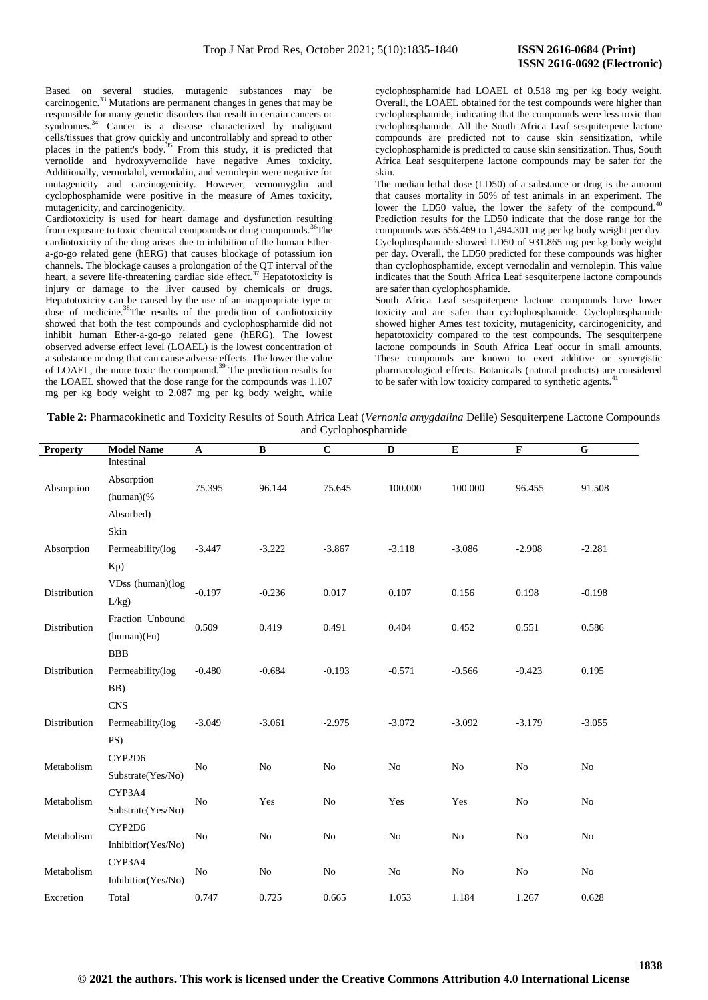Based on several studies, mutagenic substances may be carcinogenic.<sup>33</sup> Mutations are permanent changes in genes that may be responsible for many genetic disorders that result in certain cancers or syndromes.<sup>34</sup> Cancer is a disease characterized by malignant cells/tissues that grow quickly and uncontrollably and spread to other places in the patient's body.<sup>35</sup> From this study, it is predicted that vernolide and hydroxyvernolide have negative Ames toxicity. Additionally, vernodalol, vernodalin, and vernolepin were negative for mutagenicity and carcinogenicity. However, vernomygdin and cyclophosphamide were positive in the measure of Ames toxicity, mutagenicity, and carcinogenicity.

Cardiotoxicity is used for heart damage and dysfunction resulting from exposure to toxic chemical compounds or drug compounds.<sup>36</sup>The cardiotoxicity of the drug arises due to inhibition of the human Ethera-go-go related gene (hERG) that causes blockage of potassium ion channels. The blockage causes a prolongation of the QT interval of the heart, a severe life-threatening cardiac side effect.<sup>37</sup> Hepatotoxicity is injury or damage to the liver caused by chemicals or drugs. Hepatotoxicity can be caused by the use of an inappropriate type or dose of medicine.<sup>38</sup>The results of the prediction of cardiotoxicity showed that both the test compounds and cyclophosphamide did not inhibit human Ether-a-go-go related gene (hERG). The lowest observed adverse effect level (LOAEL) is the lowest concentration of a substance or drug that can cause adverse effects. The lower the value of LOAEL, the more toxic the compound.<sup>39</sup> The prediction results for the LOAEL showed that the dose range for the compounds was 1.107 mg per kg body weight to 2.087 mg per kg body weight, while

cyclophosphamide had LOAEL of 0.518 mg per kg body weight. Overall, the LOAEL obtained for the test compounds were higher than cyclophosphamide, indicating that the compounds were less toxic than cyclophosphamide. All the South Africa Leaf sesquiterpene lactone compounds are predicted not to cause skin sensitization, while cyclophosphamide is predicted to cause skin sensitization. Thus, South Africa Leaf sesquiterpene lactone compounds may be safer for the skin.

The median lethal dose (LD50) of a substance or drug is the amount that causes mortality in 50% of test animals in an experiment. The lower the LD50 value, the lower the safety of the compound.<sup>4</sup> Prediction results for the LD50 indicate that the dose range for the compounds was 556.469 to 1,494.301 mg per kg body weight per day. Cyclophosphamide showed LD50 of 931.865 mg per kg body weight per day. Overall, the LD50 predicted for these compounds was higher than cyclophosphamide, except vernodalin and vernolepin. This value indicates that the South Africa Leaf sesquiterpene lactone compounds are safer than cyclophosphamide.

South Africa Leaf sesquiterpene lactone compounds have lower toxicity and are safer than cyclophosphamide. Cyclophosphamide showed higher Ames test toxicity, mutagenicity, carcinogenicity, and hepatotoxicity compared to the test compounds. The sesquiterpene lactone compounds in South Africa Leaf occur in small amounts. These compounds are known to exert additive or synergistic pharmacological effects. Botanicals (natural products) are considered to be safer with low toxicity compared to synthetic agents.<sup>4</sup>

**Table 2:** Pharmacokinetic and Toxicity Results of South Africa Leaf (*Vernonia amygdalina* Delile) Sesquiterpene Lactone Compounds and Cyclophosphamide

| <b>Property</b> | <b>Model Name</b>  | A              | B              | $\bf C$        | D              | ${\bf E}$ | $\mathbf F$ | $\mathbf G$    |
|-----------------|--------------------|----------------|----------------|----------------|----------------|-----------|-------------|----------------|
| Absorption      | Intestinal         |                |                |                |                |           |             |                |
|                 | Absorption         | 75.395         | 96.144         | 75.645         | 100.000        | 100.000   | 96.455      | 91.508         |
|                 | (human)(%          |                |                |                |                |           |             |                |
|                 | Absorbed)          |                |                |                |                |           |             |                |
| Absorption      | Skin               |                |                |                |                |           |             |                |
|                 | Permeability(log   | $-3.447$       | $-3.222$       | $-3.867$       | $-3.118$       | $-3.086$  | $-2.908$    | $-2.281$       |
|                 | K <sub>p</sub> )   |                |                |                |                |           |             |                |
|                 | VDss (human)(log   |                | $-0.236$       | 0.017          | 0.107          | 0.156     | 0.198       | $-0.198$       |
| Distribution    | L/kg               | $-0.197$       |                |                |                |           |             |                |
|                 | Fraction Unbound   |                | 0.419          | 0.491          | 0.404          | 0.452     | 0.551       | 0.586          |
| Distribution    | (human)(Fu)        | 0.509          |                |                |                |           |             |                |
|                 | <b>BBB</b>         |                |                |                |                |           |             |                |
| Distribution    | Permeability(log   | $-0.480$       | $-0.684$       | $-0.193$       | $-0.571$       | $-0.566$  | $-0.423$    | 0.195          |
|                 | BB)                |                |                |                |                |           |             |                |
| Distribution    | <b>CNS</b>         |                |                | $-2.975$       | $-3.072$       | $-3.092$  | $-3.179$    | $-3.055$       |
|                 | Permeability(log   | $-3.049$       | $-3.061$       |                |                |           |             |                |
|                 | PS)                |                |                |                |                |           |             |                |
| Metabolism      | CYP2D6             | No             | N <sub>o</sub> | N <sub>o</sub> | No             | No        | No          | N <sub>o</sub> |
|                 | Substrate(Yes/No)  |                |                |                |                |           |             |                |
| Metabolism      | CYP3A4             | No             | Yes            | No             | Yes            | Yes       | No          | N <sub>o</sub> |
|                 | Substrate(Yes/No)  |                |                |                |                |           |             |                |
| Metabolism      | CYP2D6             | N <sub>0</sub> | N <sub>o</sub> | N <sub>0</sub> | No             | No        | No          | No             |
|                 | Inhibitior(Yes/No) |                |                |                |                |           |             |                |
|                 | CYP3A4             | N <sub>o</sub> | N <sub>o</sub> | N <sub>o</sub> | N <sub>o</sub> | No        | No          | N <sub>o</sub> |
| Metabolism      | Inhibitior(Yes/No) |                |                |                |                |           |             |                |
| Excretion       | Total              | 0.747          | 0.725          | 0.665          | 1.053          | 1.184     | 1.267       | 0.628          |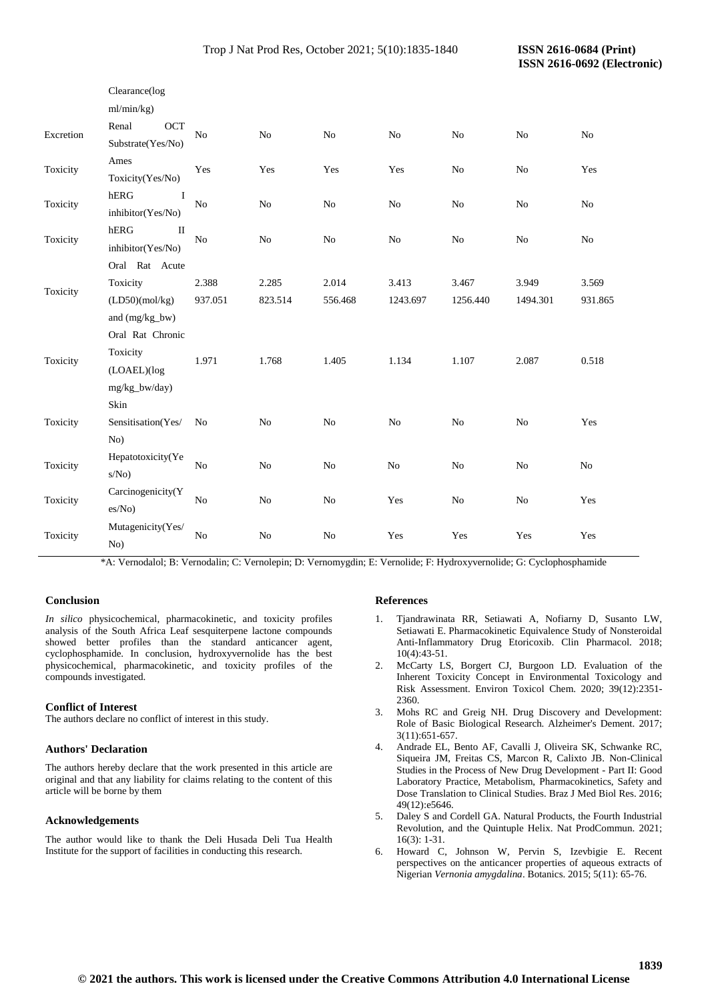| Clearance(log       |                                                                                                                 |                |                |                |                |                |                |
|---------------------|-----------------------------------------------------------------------------------------------------------------|----------------|----------------|----------------|----------------|----------------|----------------|
| ml/min/kg)          |                                                                                                                 |                |                |                |                |                |                |
| Renal<br><b>OCT</b> | N <sub>o</sub>                                                                                                  | N <sub>o</sub> | N <sub>o</sub> | N <sub>o</sub> | N <sub>o</sub> | N <sub>o</sub> | N <sub>0</sub> |
|                     |                                                                                                                 |                |                |                |                |                |                |
|                     | Yes                                                                                                             | Yes            | Yes            | Yes            | No             | No             | Yes            |
|                     |                                                                                                                 |                |                |                |                |                |                |
|                     |                                                                                                                 | N <sub>o</sub> | No             | No             | No             | N <sub>o</sub> | No             |
|                     |                                                                                                                 |                |                |                |                |                |                |
| П                   | No                                                                                                              | N <sub>o</sub> | N <sub>o</sub> | No             | No             | N <sub>o</sub> | No             |
|                     |                                                                                                                 |                |                |                |                |                |                |
| Oral Rat Acute      |                                                                                                                 |                |                |                |                |                |                |
| Toxicity            | 2.388                                                                                                           | 2.285          | 2.014          | 3.413          | 3.467          | 3.949          | 3.569          |
| (LD50)(mol/kg)      | 937.051                                                                                                         | 823.514        | 556.468        | 1243.697       | 1256.440       | 1494.301       | 931.865        |
| and (mg/kg_bw)      |                                                                                                                 |                |                |                |                |                |                |
| Oral Rat Chronic    |                                                                                                                 |                |                |                |                |                |                |
| Toxicity            | 1.971                                                                                                           | 1.768          | 1.405          | 1.134          | 1.107          | 2.087          | 0.518          |
| (LOAEL)(log         |                                                                                                                 |                |                |                |                |                |                |
| mg/kg_bw/day)       |                                                                                                                 |                |                |                |                |                |                |
| Skin                |                                                                                                                 |                |                |                |                |                |                |
| Sensitisation(Yes/  | N <sub>o</sub>                                                                                                  | $\rm No$       | $\rm No$       | $\rm No$       | $\rm No$       | N <sub>o</sub> | Yes            |
| No)                 |                                                                                                                 |                |                |                |                |                |                |
| Hepatotoxicity(Ye   | N <sub>0</sub>                                                                                                  | No             | N <sub>o</sub> | N <sub>o</sub> | N <sub>o</sub> | N <sub>o</sub> | N <sub>o</sub> |
| s/No)               |                                                                                                                 |                |                |                |                |                |                |
| Carcinogenicity(Y   | No                                                                                                              | No             | No             | Yes            | No             | N <sub>o</sub> | Yes            |
| es/No)              |                                                                                                                 |                |                |                |                |                |                |
| Mutagenicity(Yes/   | No                                                                                                              | N <sub>o</sub> | N <sub>o</sub> | Yes            | Yes            | Yes            | Yes            |
| No)                 |                                                                                                                 |                |                |                |                |                |                |
|                     | Substrate(Yes/No)<br>Ames<br>Toxicity(Yes/No)<br>${\tt hERG}$<br>inhibitor(Yes/No)<br>hERG<br>inhibitor(Yes/No) | $\rm No$       |                |                |                |                |                |

\*A: Vernodalol; B: Vernodalin; C: Vernolepin; D: Vernomygdin; E: Vernolide; F: Hydroxyvernolide; G: Cyclophosphamide

# **Conclusion**

*In silico* physicochemical, pharmacokinetic, and toxicity profiles analysis of the South Africa Leaf sesquiterpene lactone compounds showed better profiles than the standard anticancer agent, cyclophosphamide. In conclusion, hydroxyvernolide has the best physicochemical, pharmacokinetic, and toxicity profiles of the compounds investigated.

# **Conflict of Interest**

The authors declare no conflict of interest in this study.

# **Authors' Declaration**

The authors hereby declare that the work presented in this article are original and that any liability for claims relating to the content of this article will be borne by them

# **Acknowledgements**

The author would like to thank the Deli Husada Deli Tua Health Institute for the support of facilities in conducting this research.

#### **References**

- 1. Tjandrawinata RR, Setiawati A, Nofiarny D, Susanto LW, Setiawati E. Pharmacokinetic Equivalence Study of Nonsteroidal Anti-Inflammatory Drug Etoricoxib. Clin Pharmacol. 2018; 10(4):43-51.
- 2. McCarty LS, Borgert CJ, Burgoon LD. Evaluation of the Inherent Toxicity Concept in Environmental Toxicology and Risk Assessment. Environ Toxicol Chem. 2020; 39(12):2351- 2360.
- 3. Mohs RC and Greig NH. Drug Discovery and Development: Role of Basic Biological Research. Alzheimer's Dement. 2017; 3(11):651-657.
- 4. Andrade EL, Bento AF, Cavalli J, Oliveira SK, Schwanke RC, Siqueira JM, Freitas CS, Marcon R, Calixto JB. Non-Clinical Studies in the Process of New Drug Development - Part II: Good Laboratory Practice, Metabolism, Pharmacokinetics, Safety and Dose Translation to Clinical Studies. Braz J Med Biol Res. 2016; 49(12):e5646.
- 5. Daley S and Cordell GA. Natural Products, the Fourth Industrial Revolution, and the Quintuple Helix. Nat ProdCommun. 2021; 16(3): 1-31.
- 6. Howard C, Johnson W, Pervin S, Izevbigie E. Recent perspectives on the anticancer properties of aqueous extracts of Nigerian *Vernonia amygdalina*. Botanics. 2015; 5(11): 65-76.